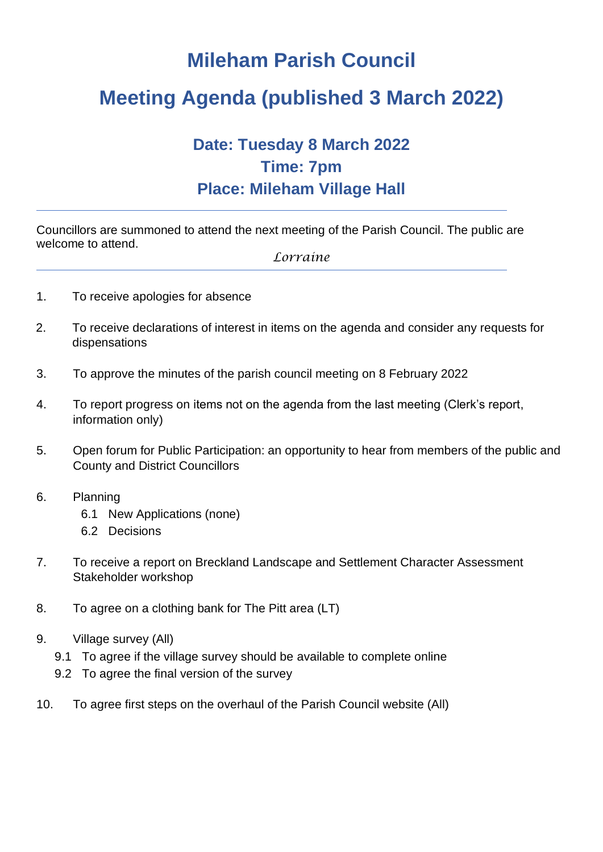## **Mileham Parish Council**

## **Meeting Agenda (published 3 March 2022)**

## **Date: Tuesday 8 March 2022 Time: 7pm Place: Mileham Village Hall**

Councillors are summoned to attend the next meeting of the Parish Council. The public are welcome to attend.

*Lorraine*

- 1. To receive apologies for absence
- 2. To receive declarations of interest in items on the agenda and consider any requests for dispensations
- 3. To approve the minutes of the parish council meeting on 8 February 2022
- 4. To report progress on items not on the agenda from the last meeting (Clerk's report, information only)
- 5. Open forum for Public Participation: an opportunity to hear from members of the public and County and District Councillors
- 6. Planning
	- 6.1 New Applications (none)
	- 6.2 Decisions
- 7. To receive a report on Breckland Landscape and Settlement Character Assessment Stakeholder workshop
- 8. To agree on a clothing bank for The Pitt area (LT)
- 9. Village survey (All)
	- 9.1 To agree if the village survey should be available to complete online
	- 9.2 To agree the final version of the survey
- 10. To agree first steps on the overhaul of the Parish Council website (All)